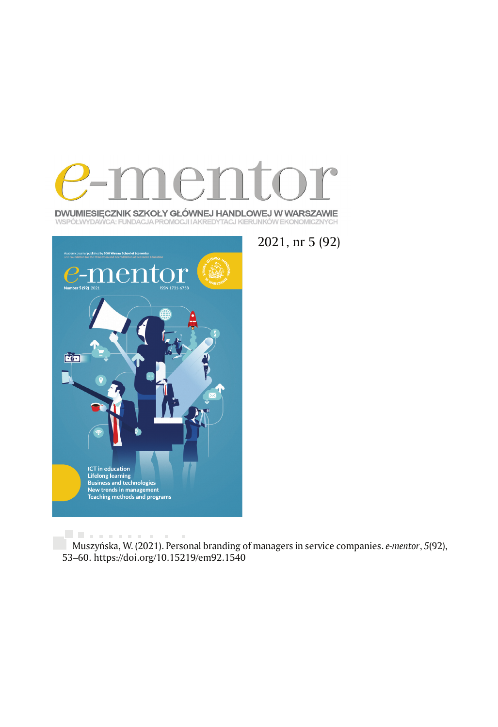

DWUMIESIĘCZNIK SZKOŁY GŁÓWNEJ HANDLOWEJ W WARSZAWIE WSPÓŁWYDAWCA: FUNDACJA PROMOCJI I AKREDYTACJ KIERUNKÓW EKONOMICZNYCH



2021, nr 5 (92)

. . . . . . . . . . . . Muszyńska, W. (2021). Personal branding of managers in service companies. *e-mentor*, *5*(92), 53 –60. https://doi.org/10.15219/em92.1540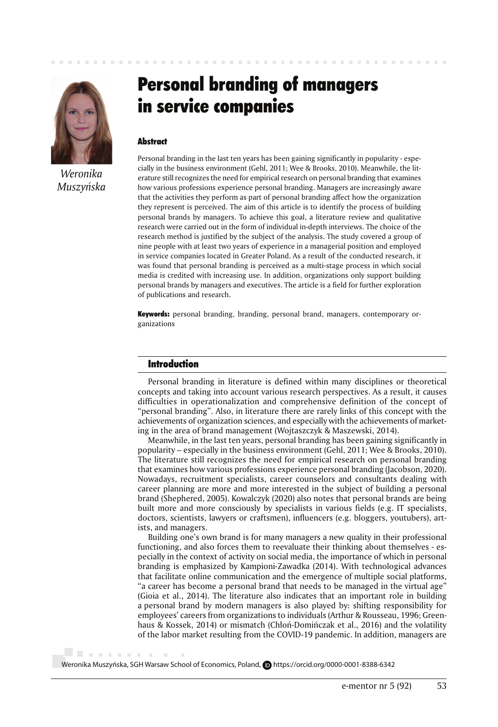

*Weronika Muszyńska*

. . . . . . . .

 $\sim$ 

# Personal branding of managers in service companies

## **Abstract**

Personal branding in the last ten years has been gaining significantly in popularity - especially in the business environment (Gehl, 2011; Wee & Brooks, 2010). Meanwhile, the literature still recognizes the need for empirical research on personal branding that examines how various professions experience personal branding. Managers are increasingly aware that the activities they perform as part of personal branding affect how the organization they represent is perceived. The aim of this article is to identify the process of building personal brands by managers. To achieve this goal, a literature review and qualitative research were carried out in the form of individual in-depth interviews. The choice of the research method is justified by the subject of the analysis. The study covered a group of nine people with at least two years of experience in a managerial position and employed in service companies located in Greater Poland. As a result of the conducted research, it was found that personal branding is perceived as a multi-stage process in which social media is credited with increasing use. In addition, organizations only support building personal brands by managers and executives. The article is a field for further exploration of publications and research.

Keywords: personal branding, branding, personal brand, managers, contemporary organizations

#### Introduction

Personal branding in literature is defined within many disciplines or theoretical concepts and taking into account various research perspectives. As a result, it causes difficulties in operationalization and comprehensive definition of the concept of "personal branding". Also, in literature there are rarely links of this concept with the achievements of organization sciences, and especially with the achievements of marketing in the area of brand management (Wojtaszczyk & Maszewski, 2014).

Meanwhile, in the last ten years, personal branding has been gaining significantly in popularity – especially in the business environment (Gehl, 2011; Wee & Brooks, 2010). The literature still recognizes the need for empirical research on personal branding that examines how various professions experience personal branding (Jacobson, 2020). Nowadays, recruitment specialists, career counselors and consultants dealing with career planning are more and more interested in the subject of building a personal brand (Shephered, 2005). Kowalczyk (2020) also notes that personal brands are being built more and more consciously by specialists in various fields (e.g. IT specialists, doctors, scientists, lawyers or craftsmen), influencers (e.g. bloggers, youtubers), artists, and managers.

Building one's own brand is for many managers a new quality in their professional functioning, and also forces them to reevaluate their thinking about themselves - especially in the context of activity on social media, the importance of which in personal branding is emphasized by Kampioni-Zawadka (2014). With technological advances that facilitate online communication and the emergence of multiple social platforms, "a career has become a personal brand that needs to be managed in the virtual age" (Gioia et al., 2014). The literature also indicates that an important role in building a personal brand by modern managers is also played by: shifting responsibility for employees' careers from organizations to individuals (Arthur & Rousseau, 1996; Greenhaus & Kossek, 2014) or mismatch (Chłoń-Domińczak et al., 2016) and the volatility of the labor market resulting from the COVID-19 pandemic. In addition, managers are

Weronika Muszyńska, SGH Warsaw School of Economics, Poland, **D**https://orcid.org/0000-0001-8388-6342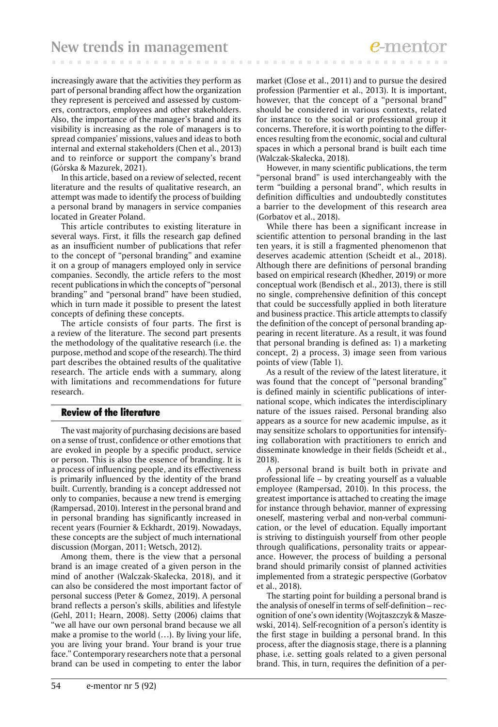increasingly aware that the activities they perform as part of personal branding affect how the organization they represent is perceived and assessed by customers, contractors, employees and other stakeholders. Also, the importance of the manager's brand and its visibility is increasing as the role of managers is to spread companies' missions, values and ideas to both internal and external stakeholders (Chen et al., 2013) and to reinforce or support the company's brand (Górska & Mazurek, 2021).

In this article, based on a review of selected, recent literature and the results of qualitative research, an attempt was made to identify the process of building a personal brand by managers in service companies located in Greater Poland.

This article contributes to existing literature in several ways. First, it fills the research gap defined as an insufficient number of publications that refer to the concept of "personal branding" and examine it on a group of managers employed only in service companies. Secondly, the article refers to the most recent publications in which the concepts of "personal branding" and "personal brand" have been studied, which in turn made it possible to present the latest concepts of defining these concepts.

The article consists of four parts. The first is a review of the literature. The second part presents the methodology of the qualitative research (i.e. the purpose, method and scope of the research). The third part describes the obtained results of the qualitative research. The article ends with a summary, along with limitations and recommendations for future research.

# Review of the literature

The vast majority of purchasing decisions are based on a sense of trust, confidence or other emotions that are evoked in people by a specific product, service or person. This is also the essence of branding. It is a process of influencing people, and its effectiveness is primarily influenced by the identity of the brand built. Currently, branding is a concept addressed not only to companies, because a new trend is emerging (Rampersad, 2010). Interest in the personal brand and in personal branding has significantly increased in recent years (Fournier & Eckhardt, 2019). Nowadays, these concepts are the subject of much international discussion (Morgan, 2011; Wetsch, 2012).

Among them, there is the view that a personal brand is an image created of a given person in the mind of another (Walczak-Skałecka, 2018), and it can also be considered the most important factor of personal success (Peter & Gomez, 2019). A personal brand reflects a person's skills, abilities and lifestyle (Gehl, 2011; Hearn, 2008). Setty (2006) claims that "we all have our own personal brand because we all make a promise to the world (…). By living your life, you are living your brand. Your brand is your true face." Contemporary researchers note that a personal brand can be used in competing to enter the labor

market (Close et al., 2011) and to pursue the desired profession (Parmentier et al., 2013). It is important, however, that the concept of a "personal brand" should be considered in various contexts, related for instance to the social or professional group it concerns. Therefore, it is worth pointing to the differences resulting from the economic, social and cultural spaces in which a personal brand is built each time (Walczak-Skałecka, 2018).

However, in many scientific publications, the term "personal brand" is used interchangeably with the term "building a personal brand", which results in definition difficulties and undoubtedly constitutes a barrier to the development of this research area (Gorbatov et al., 2018).

While there has been a significant increase in scientific attention to personal branding in the last ten years, it is still a fragmented phenomenon that deserves academic attention (Scheidt et al., 2018). Although there are definitions of personal branding based on empirical research (Khedher, 2019) or more conceptual work (Bendisch et al., 2013), there is still no single, comprehensive definition of this concept that could be successfully applied in both literature and business practice. This article attempts to classify the definition of the concept of personal branding appearing in recent literature. As a result, it was found that personal branding is defined as: 1) a marketing concept, 2) a process, 3) image seen from various points of view (Table 1).

As a result of the review of the latest literature, it was found that the concept of "personal branding" is defined mainly in scientific publications of international scope, which indicates the interdisciplinary nature of the issues raised. Personal branding also appears as a source for new academic impulse, as it may sensitize scholars to opportunities for intensifying collaboration with practitioners to enrich and disseminate knowledge in their fields (Scheidt et al., 2018).

A personal brand is built both in private and professional life – by creating yourself as a valuable employee (Rampersad, 2010). In this process, the greatest importance is attached to creating the image for instance through behavior, manner of expressing oneself, mastering verbal and non-verbal communication, or the level of education. Equally important is striving to distinguish yourself from other people through qualifications, personality traits or appearance. However, the process of building a personal brand should primarily consist of planned activities implemented from a strategic perspective (Gorbatov et al., 2018).

The starting point for building a personal brand is the analysis of oneself in terms of self-definition – recognition of one's own identity (Wojtaszczyk & Maszewski, 2014). Self-recognition of a person's identity is the first stage in building a personal brand. In this process, after the diagnosis stage, there is a planning phase, i.e. setting goals related to a given personal brand. This, in turn, requires the definition of a per-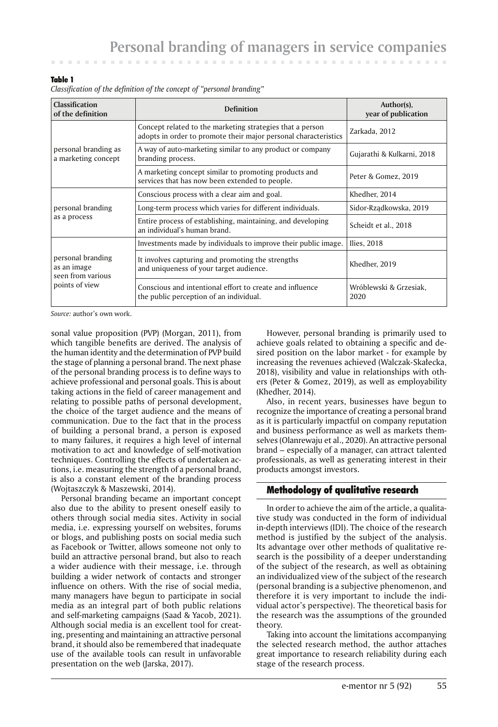. . . . . . . . . .

#### Table 1

| Classification of the definition of the concept of "personal branding" |  |  |  |
|------------------------------------------------------------------------|--|--|--|

and the company of the com-

| <b>Classification</b><br>of the definition                              | Definition                                                                                                                   | Author(s),<br>year of publication |  |
|-------------------------------------------------------------------------|------------------------------------------------------------------------------------------------------------------------------|-----------------------------------|--|
|                                                                         | Concept related to the marketing strategies that a person<br>adopts in order to promote their major personal characteristics | Zarkada, 2012                     |  |
| personal branding as<br>a marketing concept                             | A way of auto-marketing similar to any product or company<br>branding process.                                               | Gujarathi & Kulkarni, 2018        |  |
|                                                                         | A marketing concept similar to promoting products and<br>services that has now been extended to people.                      | Peter & Gomez, 2019               |  |
| personal branding<br>as a process                                       | Conscious process with a clear aim and goal.                                                                                 | Khedher, 2014                     |  |
|                                                                         | Long-term process which varies for different individuals.                                                                    | Sidor-Rządkowska, 2019            |  |
|                                                                         | Entire process of establishing, maintaining, and developing<br>an individual's human brand.                                  | Scheidt et al., 2018              |  |
| personal branding<br>as an image<br>seen from various<br>points of view | Investments made by individuals to improve their public image.                                                               | Ilies, 2018                       |  |
|                                                                         | It involves capturing and promoting the strengths<br>and uniqueness of your target audience.                                 | Khedher, 2019                     |  |
|                                                                         | Conscious and intentional effort to create and influence<br>the public perception of an individual.                          | Wróblewski & Grzesiak,<br>2020    |  |

*Source:* author's own work.

sonal value proposition (PVP) (Morgan, 2011), from which tangible benefits are derived. The analysis of the human identity and the determination of PVP build the stage of planning a personal brand. The next phase of the personal branding process is to define ways to achieve professional and personal goals. This is about taking actions in the field of career management and relating to possible paths of personal development, the choice of the target audience and the means of communication. Due to the fact that in the process of building a personal brand, a person is exposed to many failures, it requires a high level of internal motivation to act and knowledge of self-motivation techniques. Controlling the effects of undertaken actions, i.e. measuring the strength of a personal brand, is also a constant element of the branding process (Wojtaszczyk & Maszewski, 2014).

Personal branding became an important concept also due to the ability to present oneself easily to others through social media sites. Activity in social media, i.e. expressing yourself on websites, forums or blogs, and publishing posts on social media such as Facebook or Twitter, allows someone not only to build an attractive personal brand, but also to reach a wider audience with their message, i.e. through building a wider network of contacts and stronger influence on others. With the rise of social media, many managers have begun to participate in social media as an integral part of both public relations and self-marketing campaigns (Saad & Yacob, 2021). Although social media is an excellent tool for creating, presenting and maintaining an attractive personal brand, it should also be remembered that inadequate use of the available tools can result in unfavorable presentation on the web (Jarska, 2017).

However, personal branding is primarily used to achieve goals related to obtaining a specific and desired position on the labor market - for example by increasing the revenues achieved (Walczak-Skałecka, 2018), visibility and value in relationships with others (Peter & Gomez, 2019), as well as employability (Khedher, 2014).

Also, in recent years, businesses have begun to recognize the importance of creating a personal brand as it is particularly impactful on company reputation and business performance as well as markets themselves (Olanrewaju et al., 2020). An attractive personal brand – especially of a manager, can attract talented professionals, as well as generating interest in their products amongst investors.

# Methodology of qualitative research

In order to achieve the aim of the article, a qualitative study was conducted in the form of individual in-depth interviews (IDI). The choice of the research method is justified by the subject of the analysis. Its advantage over other methods of qualitative research is the possibility of a deeper understanding of the subject of the research, as well as obtaining an individualized view of the subject of the research (personal branding is a subjective phenomenon, and therefore it is very important to include the individual actor's perspective). The theoretical basis for the research was the assumptions of the grounded theory.

Taking into account the limitations accompanying the selected research method, the author attaches great importance to research reliability during each stage of the research process.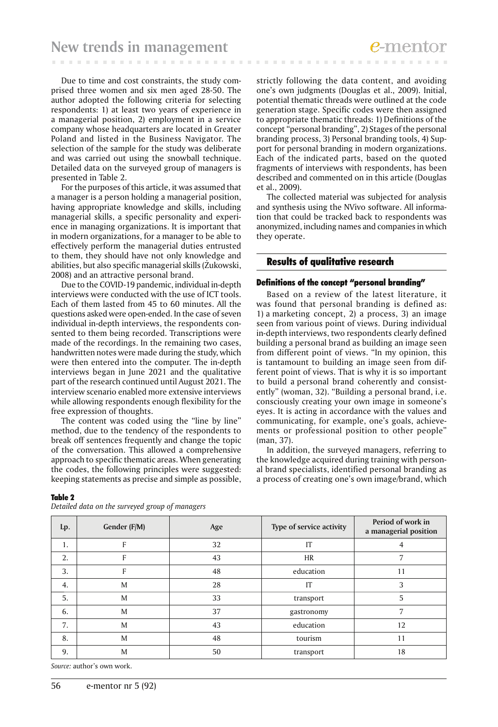Due to time and cost constraints, the study comprised three women and six men aged 28-50. The author adopted the following criteria for selecting respondents: 1) at least two years of experience in a managerial position, 2) employment in a service company whose headquarters are located in Greater Poland and listed in the Business Navigator. The selection of the sample for the study was deliberate and was carried out using the snowball technique. Detailed data on the surveyed group of managers is presented in Table 2.

For the purposes of this article, it was assumed that a manager is a person holding a managerial position, having appropriate knowledge and skills, including managerial skills, a specific personality and experience in managing organizations. It is important that in modern organizations, for a manager to be able to effectively perform the managerial duties entrusted to them, they should have not only knowledge and abilities, but also specific managerial skills (Żukowski, 2008) and an attractive personal brand.

Due to the COVID-19 pandemic, individual in-depth interviews were conducted with the use of ICT tools. Each of them lasted from 45 to 60 minutes. All the questions asked were open-ended. In the case of seven individual in-depth interviews, the respondents consented to them being recorded. Transcriptions were made of the recordings. In the remaining two cases, handwritten notes were made during the study, which were then entered into the computer. The in-depth interviews began in June 2021 and the qualitative part of the research continued until August 2021. The interview scenario enabled more extensive interviews while allowing respondents enough flexibility for the free expression of thoughts.

The content was coded using the "line by line" method, due to the tendency of the respondents to break off sentences frequently and change the topic of the conversation. This allowed a comprehensive approach to specific thematic areas. When generating the codes, the following principles were suggested: keeping statements as precise and simple as possible,

Table 2

*Detailed data on the surveyed group of managers*

strictly following the data content, and avoiding one's own judgments (Douglas et al., 2009). Initial, potential thematic threads were outlined at the code generation stage. Specific codes were then assigned to appropriate thematic threads: 1) Definitions of the concept "personal branding", 2) Stages of the personal branding process, 3) Personal branding tools, 4) Support for personal branding in modern organizations. Each of the indicated parts, based on the quoted fragments of interviews with respondents, has been described and commented on in this article (Douglas et al., 2009).

The collected material was subjected for analysis and synthesis using the NVivo software. All information that could be tracked back to respondents was anonymized, including names and companies in which they operate.

# Results of qualitative research

#### Definitions of the concept "personal branding"

Based on a review of the latest literature, it was found that personal branding is defined as: 1) a marketing concept, 2) a process, 3) an image seen from various point of views. During individual in-depth interviews, two respondents clearly defined building a personal brand as building an image seen from different point of views. "In my opinion, this is tantamount to building an image seen from different point of views. That is why it is so important to build a personal brand coherently and consistently" (woman, 32). "Building a personal brand, i.e. consciously creating your own image in someone's eyes. It is acting in accordance with the values and communicating, for example, one's goals, achievements or professional position to other people" (man, 37).

In addition, the surveyed managers, referring to the knowledge acquired during training with personal brand specialists, identified personal branding as a process of creating one's own image/brand, which

| Lp. | Gender (F/M) | Age | Type of service activity | Period of work in<br>a managerial position |
|-----|--------------|-----|--------------------------|--------------------------------------------|
| 1.  |              | 32  | IT                       | 4                                          |
| 2.  | F            | 43  | <b>HR</b>                |                                            |
| 3.  | F            | 48  | education                | 11                                         |
| 4.  | M            | 28  | IT                       | 3                                          |
| 5.  | M            | 33  | transport                | 5                                          |
| 6.  | M            | 37  | gastronomy               | 7                                          |
| 7.  | M            | 43  | education                | 12                                         |
| 8.  | M            | 48  | tourism                  | 11                                         |
| 9.  | M            | 50  | transport                | 18                                         |

*Source:* author's own work.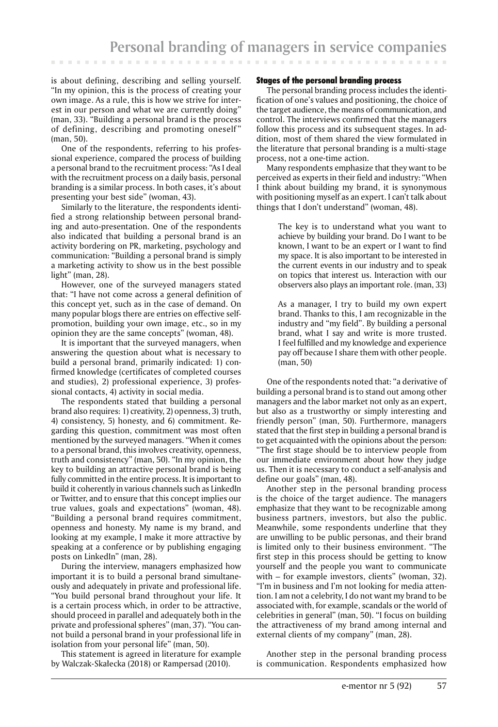is about defining, describing and selling yourself. "In my opinion, this is the process of creating your own image. As a rule, this is how we strive for interest in our person and what we are currently doing" (man, 33). "Building a personal brand is the process of defining, describing and promoting oneself" (man, 50).

One of the respondents, referring to his professional experience, compared the process of building a personal brand to the recruitment process: "As I deal with the recruitment process on a daily basis, personal branding is a similar process. In both cases, it's about presenting your best side" (woman, 43).

Similarly to the literature, the respondents identified a strong relationship between personal branding and auto-presentation. One of the respondents also indicated that building a personal brand is an activity bordering on PR, marketing, psychology and communication: "Building a personal brand is simply a marketing activity to show us in the best possible light" (man, 28).

However, one of the surveyed managers stated that: "I have not come across a general definition of this concept yet, such as in the case of demand. On many popular blogs there are entries on effective selfpromotion, building your own image, etc., so in my opinion they are the same concepts" (woman, 48).

It is important that the surveyed managers, when answering the question about what is necessary to build a personal brand, primarily indicated: 1) confirmed knowledge (certificates of completed courses and studies), 2) professional experience, 3) professional contacts, 4) activity in social media.

The respondents stated that building a personal brand also requires: 1) creativity, 2) openness, 3) truth, 4) consistency, 5) honesty, and 6) commitment. Regarding this question, commitment was most often mentioned by the surveyed managers. "When it comes to a personal brand, this involves creativity, openness, truth and consistency" (man, 50). "In my opinion, the key to building an attractive personal brand is being fully committed in the entire process. It is important to build it coherently in various channels such as LinkedIn or Twitter, and to ensure that this concept implies our true values, goals and expectations" (woman, 48). "Building a personal brand requires commitment, openness and honesty. My name is my brand, and looking at my example, I make it more attractive by speaking at a conference or by publishing engaging posts on LinkedIn" (man, 28).

During the interview, managers emphasized how important it is to build a personal brand simultaneously and adequately in private and professional life. "You build personal brand throughout your life. It is a certain process which, in order to be attractive, should proceed in parallel and adequately both in the private and professional spheres" (man, 37). "You cannot build a personal brand in your professional life in isolation from your personal life" (man, 50).

This statement is agreed in literature for example by Walczak-Skałecka (2018) or Rampersad (2010).

## Stages of the personal branding process

The personal branding process includes the identification of one's values and positioning, the choice of the target audience, the means of communication, and control. The interviews confirmed that the managers follow this process and its subsequent stages. In addition, most of them shared the view formulated in the literature that personal branding is a multi-stage process, not a one-time action.

Many respondents emphasize that they want to be perceived as experts in their field and industry: "When I think about building my brand, it is synonymous with positioning myself as an expert. I can't talk about things that I don't understand" (woman, 48).

> The key is to understand what you want to achieve by building your brand. Do I want to be known, I want to be an expert or I want to find my space. It is also important to be interested in the current events in our industry and to speak on topics that interest us. Interaction with our observers also plays an important role. (man, 33)

> As a manager, I try to build my own expert brand. Thanks to this, I am recognizable in the industry and "my field". By building a personal brand, what I say and write is more trusted. I feel fulfilled and my knowledge and experience pay off because I share them with other people. (man, 50)

One of the respondents noted that: "a derivative of building a personal brand is to stand out among other managers and the labor market not only as an expert, but also as a trustworthy or simply interesting and friendly person" (man, 50). Furthermore, managers stated that the first step in building a personal brand is to get acquainted with the opinions about the person: "The first stage should be to interview people from our immediate environment about how they judge us. Then it is necessary to conduct a self-analysis and define our goals" (man, 48).

Another step in the personal branding process is the choice of the target audience. The managers emphasize that they want to be recognizable among business partners, investors, but also the public. Meanwhile, some respondents underline that they are unwilling to be public personas, and their brand is limited only to their business environment. "The first step in this process should be getting to know yourself and the people you want to communicate with – for example investors, clients" (woman, 32). "I'm in business and I'm not looking for media attention. I am not a celebrity, I do not want my brand to be associated with, for example, scandals or the world of celebrities in general" (man, 50). "I focus on building the attractiveness of my brand among internal and external clients of my company" (man, 28).

Another step in the personal branding process is communication. Respondents emphasized how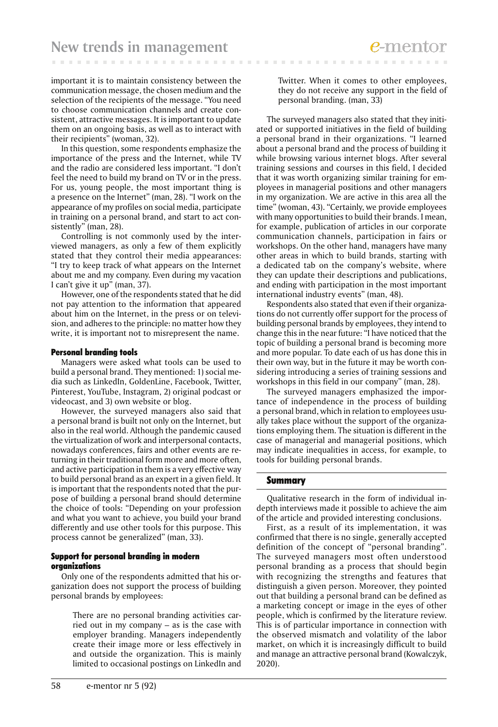important it is to maintain consistency between the communication message, the chosen medium and the selection of the recipients of the message. "You need to choose communication channels and create consistent, attractive messages. It is important to update them on an ongoing basis, as well as to interact with their recipients" (woman, 32).

In this question, some respondents emphasize the importance of the press and the Internet, while TV and the radio are considered less important. "I don't feel the need to build my brand on TV or in the press. For us, young people, the most important thing is a presence on the Internet" (man, 28). "I work on the appearance of my profiles on social media, participate in training on a personal brand, and start to act consistently" (man, 28).

Controlling is not commonly used by the interviewed managers, as only a few of them explicitly stated that they control their media appearances: "I try to keep track of what appears on the Internet about me and my company. Even during my vacation I can't give it up" (man, 37).

However, one of the respondents stated that he did not pay attention to the information that appeared about him on the Internet, in the press or on television, and adheres to the principle: no matter how they write, it is important not to misrepresent the name.

#### Personal branding tools

Managers were asked what tools can be used to build a personal brand. They mentioned: 1) social media such as LinkedIn, GoldenLine, Facebook, Twitter, Pinterest, YouTube, Instagram, 2) original podcast or videocast, and 3) own website or blog.

However, the surveyed managers also said that a personal brand is built not only on the Internet, but also in the real world. Although the pandemic caused the virtualization of work and interpersonal contacts, nowadays conferences, fairs and other events are returning in their traditional form more and more often, and active participation in them is a very effective way to build personal brand as an expert in a given field. It is important that the respondents noted that the purpose of building a personal brand should determine the choice of tools: "Depending on your profession and what you want to achieve, you build your brand differently and use other tools for this purpose. This process cannot be generalized" (man, 33).

#### Support for personal branding in modern organizations

Only one of the respondents admitted that his organization does not support the process of building personal brands by employees:

> There are no personal branding activities carried out in my company – as is the case with employer branding. Managers independently create their image more or less effectively in and outside the organization. This is mainly limited to occasional postings on LinkedIn and

Twitter. When it comes to other employees, they do not receive any support in the field of personal branding. (man, 33)

The surveyed managers also stated that they initiated or supported initiatives in the field of building a personal brand in their organizations. "I learned about a personal brand and the process of building it while browsing various internet blogs. After several training sessions and courses in this field, I decided that it was worth organizing similar training for employees in managerial positions and other managers in my organization. We are active in this area all the time" (woman, 43). "Certainly, we provide employees with many opportunities to build their brands. I mean, for example, publication of articles in our corporate communication channels, participation in fairs or workshops. On the other hand, managers have many other areas in which to build brands, starting with a dedicated tab on the company's website, where they can update their descriptions and publications, and ending with participation in the most important international industry events" (man, 48).

Respondents also stated that even if their organizations do not currently offer support for the process of building personal brands by employees, they intend to change this in the near future: "I have noticed that the topic of building a personal brand is becoming more and more popular. To date each of us has done this in their own way, but in the future it may be worth considering introducing a series of training sessions and workshops in this field in our company" (man, 28).

The surveyed managers emphasized the importance of independence in the process of building a personal brand, which in relation to employees usually takes place without the support of the organizations employing them. The situation is different in the case of managerial and managerial positions, which may indicate inequalities in access, for example, to tools for building personal brands.

#### Summary

Qualitative research in the form of individual indepth interviews made it possible to achieve the aim of the article and provided interesting conclusions.

First, as a result of its implementation, it was confirmed that there is no single, generally accepted definition of the concept of "personal branding". The surveyed managers most often understood personal branding as a process that should begin with recognizing the strengths and features that distinguish a given person. Moreover, they pointed out that building a personal brand can be defined as a marketing concept or image in the eyes of other people, which is confirmed by the literature review. This is of particular importance in connection with the observed mismatch and volatility of the labor market, on which it is increasingly difficult to build and manage an attractive personal brand (Kowalczyk, 2020).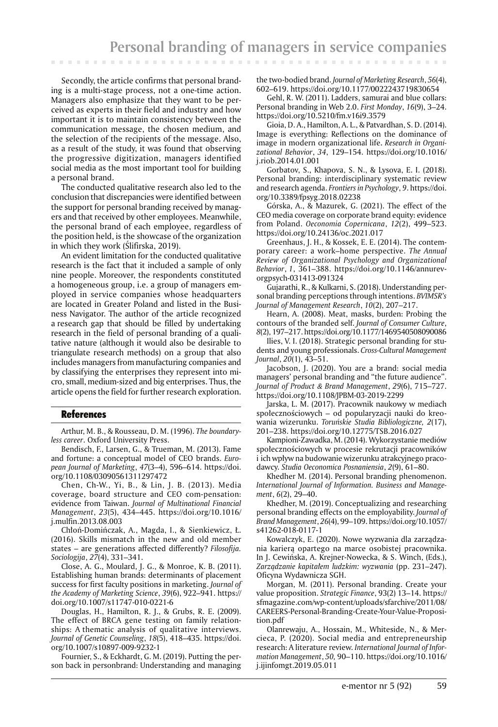Secondly, the article confirms that personal branding is a multi-stage process, not a one-time action. Managers also emphasize that they want to be perceived as experts in their field and industry and how important it is to maintain consistency between the communication message, the chosen medium, and the selection of the recipients of the message. Also, as a result of the study, it was found that observing the progressive digitization, managers identified social media as the most important tool for building a personal brand.

The conducted qualitative research also led to the conclusion that discrepancies were identified between the support for personal branding received by managers and that received by other employees. Meanwhile, the personal brand of each employee, regardless of the position held, is the showcase of the organization in which they work (Ślifirska, 2019).

An evident limitation for the conducted qualitative research is the fact that it included a sample of only nine people. Moreover, the respondents constituted a homogeneous group, i.e. a group of managers employed in service companies whose headquarters are located in Greater Poland and listed in the Business Navigator. The author of the article recognized a research gap that should be filled by undertaking research in the field of personal branding of a qualitative nature (although it would also be desirable to triangulate research methods) on a group that also includes managers from manufacturing companies and by classifying the enterprises they represent into micro, small, medium-sized and big enterprises. Thus, the article opens the field for further research exploration.

#### References

**COLLECT** 

**CONTRACTOR** 

Arthur, M. B., & Rousseau, D. M. (1996). *The boundaryless career*. Oxford University Press.

Bendisch, F., Larsen, G., & Trueman, M. (2013). Fame and fortune: a conceptual model of CEO brands. *European Journal of Marketing*, *47*(3–4), 596–614. https://doi. org/10.1108/03090561311297472

Chen, Ch-W., Yi, B., & Lin, J. B. (2013). Media coverage, board structure and CEO com-pensation: evidence from Taiwan. *Journal of Multinational Financial Management*, *23*(5), 434–445. https://doi.org/10.1016/ j.mulfin.2013.08.003

Chłoń-Domińczak, A., Magda, I., & Sienkiewicz, Ł. (2016). Skills mismatch in the new and old member states – are generations affected differently? *Filosofija. Sociologija*, *27*(4), 331–341.

Close, A. G., Moulard, J. G., & Monroe, K. B. (2011). Establishing human brands: determinants of placement success for first faculty positions in marketing. *Journal of the Academy of Marketing Science*, *39*(6), 922–941. https:// doi.org/10.1007/s11747-010-0221-6

Douglas, H., Hamilton, R. J., & Grubs, R. E. (2009). The effect of BRCA gene testing on family relationships: A thematic analysis of qualitative interviews. *Journal of Genetic Counseling*, *18*(5), 418–435. https://doi. org/10.1007/s10897-009-9232-1

Fournier, S., & Eckhardt, G. M. (2019). Putting the person back in personbrand: Understanding and managing the two-bodied brand. *Journal of Marketing Research*, *56*(4), 602–619. https://doi.org/10.1177/0022243719830654

Gehl, R. W. (2011). Ladders, samurai and blue collars: Personal branding in Web 2.0. *First Monday*, *16*(9), 3–24. https://doi.org/10.5210/fm.v16i9.3579

Gioia, D. A., Hamilton, A. L., & Patvardhan, S. D. (2014). Image is everything: Reflections on the dominance of image in modern organizational life**.** *Research in Organizational Behavior*, *34*, 129–154. https://doi.org/10.1016/ j.riob.2014.01.001

Gorbatov, S., Khapova, S. N., & Lysova, E. I. (2018). Personal branding: interdisciplinary systematic review and research agenda. *Frontiers in Psychology*, *9*. https://doi. org/10.3389/fpsyg.2018.02238

Górska, A., & Mazurek, G. (2021). The effect of the CEO media coverage on corporate brand equity: evidence from Poland. *Oeconomia Copernicana*, *12*(2), 499–523. https://doi.org/10.24136/oc.2021.017

Greenhaus, J. H., & Kossek, E. E. (2014). The contemporary career: a work–home perspective. *The Annual Review of Organizational Psychology and Organizational Behavior*, *1*, 361–388. https://doi.org/10.1146/annurevorgpsych-031413-091324

Gujarathi, R., & Kulkarni, S. (2018). Understanding personal branding perceptions through intentions. *BVIMSR's Journal of Management Research*, *10*(2), 207–217.

Hearn, A. (2008). Meat, masks, burden: Probing the contours of the branded self. *Journal of Consumer Culture*, *8*(2), 197–217. https://doi.org/10.1177/1469540508090086

Ilies, V. I. (2018). Strategic personal branding for students and young professionals. *Cross-Cultural Management Journal*, *20*(1), 43–51.

Jacobson, J. (2020). You are a brand: social media managers' personal branding and "the future audience". *Journal of Product & Brand Management*, *29*(6), 715–727. https://doi.org/10.1108/JPBM-03-2019-2299

Jarska, L. M. (2017). Pracownik naukowy w mediach społecznościowych – od popularyzacji nauki do kreowania wizerunku. *Toruńskie Studia Bibliologiczne, 2*(17), 201–238. https://doi.org/10.12775/TSB.2016.027

Kampioni-Zawadka, M. (2014). Wykorzystanie mediów społecznościowych w procesie rekrutacji pracowników i ich wpływ na budowanie wizerunku atrakcyjnego pracodawcy. *Studia Oeconomica Posnaniensia*, *2*(9), 61–80.

Khedher M. (2014). Personal branding phenomenon. *International Journal of Information. Business and Management*, *6*(2), 29–40.

Khedher, M. (2019). Conceptualizing and researching personal branding effects on the employability. *Journal of Brand Management*, *26*(4), 99–109. https://doi.org/10.1057/ s41262-018-0117-1

Kowalczyk, E. (2020). Nowe wyzwania dla zarządzania karierą opartego na marce osobistej pracownika. In J. Cewińska, A. Krejner-Nowecka, & S. Winch, (Eds.), *Zarządzanie kapitałem ludzkim: wyzwania* (pp. 231–247). Oficyna Wydawnicza SGH.

Morgan, M. (2011). Personal branding. Create your value proposition. *Strategic Finance*, 93(2) 13–14. https:// sfmagazine.com/wp-content/uploads/sfarchive/2011/08/ CAREERS-Personal-Branding-Create-Your-Value-Proposition.pdf

Olanrewaju, A., Hossain, M., Whiteside, N., & Mercieca, P. (2020). Social media and entrepreneurship research: A literature review. *International Journal of Information Management*, *50,* 90–110. https://doi.org/10.1016/ j.ijinfomgt.2019.05.011